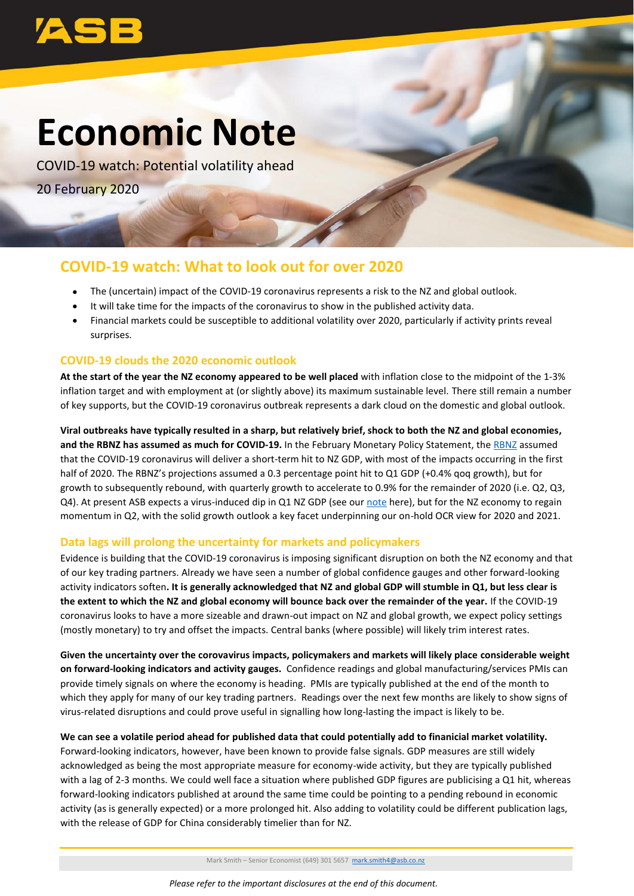

# **Economic Note**

COVID-19 watch: Potential volatility ahead 20 February 2020

## **COVID-19 watch: What to look out for over 2020**

- The (uncertain) impact of the COVID-19 coronavirus represents a risk to the NZ and global outlook.
- It will take time for the impacts of the coronavirus to show in the published activity data.
- Financial markets could be susceptible to additional volatility over 2020, particularly if activity prints reveal surprises.

### **COVID-19 clouds the 2020 economic outlook**

**At the start of the year the NZ economy appeared to be well placed** with inflation close to the midpoint of the 1-3% inflation target and with employment at (or slightly above) its maximum sustainable level. There still remain a number of key supports, but the COVID-19 coronavirus outbreak represents a dark cloud on the domestic and global outlook.

**Viral outbreaks have typically resulted in a sharp, but relatively brief, shock to both the NZ and global economies, and the RBNZ has assumed as much for COVID-19.** In the February Monetary Policy Statement, th[e RBNZ](https://www.rbnz.govt.nz/news/2020/02/official-cash-rate-remains-at-1-percent) assumed that the COVID-19 coronavirus will deliver a short-term hit to NZ GDP, with most of the impacts occurring in the first half of 2020. The RBNZ's projections assumed a 0.3 percentage point hit to Q1 GDP (+0.4% qoq growth), but for growth to subsequently rebound, with quarterly growth to accelerate to 0.9% for the remainder of 2020 (i.e. Q2, Q3, Q4). At present ASB expects a virus-induced dip in Q1 NZ GDP (see ou[r note](https://www.asb.co.nz/content/dam/asb/documents/reports/economic-note/coronavirus-economic-impacts.pdf) here), but for the NZ economy to regain momentum in Q2, with the solid growth outlook a key facet underpinning our on-hold OCR view for 2020 and 2021.

#### **Data lags will prolong the uncertainty for markets and policymakers**

Evidence is building that the COVID-19 coronavirus is imposing significant disruption on both the NZ economy and that of our key trading partners. Already we have seen a number of global confidence gauges and other forward-looking activity indicators soften**. It is generally acknowledged that NZ and global GDP will stumble in Q1, but less clear is the extent to which the NZ and global economy will bounce back over the remainder of the year.** If the COVID-19 coronavirus looks to have a more sizeable and drawn-out impact on NZ and global growth, we expect policy settings (mostly monetary) to try and offset the impacts. Central banks (where possible) will likely trim interest rates.

**Given the uncertainty over the corovavirus impacts, policymakers and markets will likely place considerable weight on forward-looking indicators and activity gauges.** Confidence readings and global manufacturing/services PMIs can provide timely signals on where the economy is heading. PMIs are typically published at the end of the month to which they apply for many of our key trading partners. Readings over the next few months are likely to show signs of virus-related disruptions and could prove useful in signalling how long-lasting the impact is likely to be.

**We can see a volatile period ahead for published data that could potentially add to finanicial market volatility.**

Forward-looking indicators, however, have been known to provide false signals. GDP measures are still widely acknowledged as being the most appropriate measure for economy-wide activity, but they are typically published with a lag of 2-3 months. We could well face a situation where published GDP figures are publicising a Q1 hit, whereas forward-looking indicators published at around the same time could be pointing to a pending rebound in economic activity (as is generally expected) or a more prolonged hit. Also adding to volatility could be different publication lags, with the release of GDP for China considerably timelier than for NZ.

Mark Smith – Senior Economist (649) 301 5657 [mark.smith4@asb.co.nz](mailto:mark.smith4@asb.co.nz)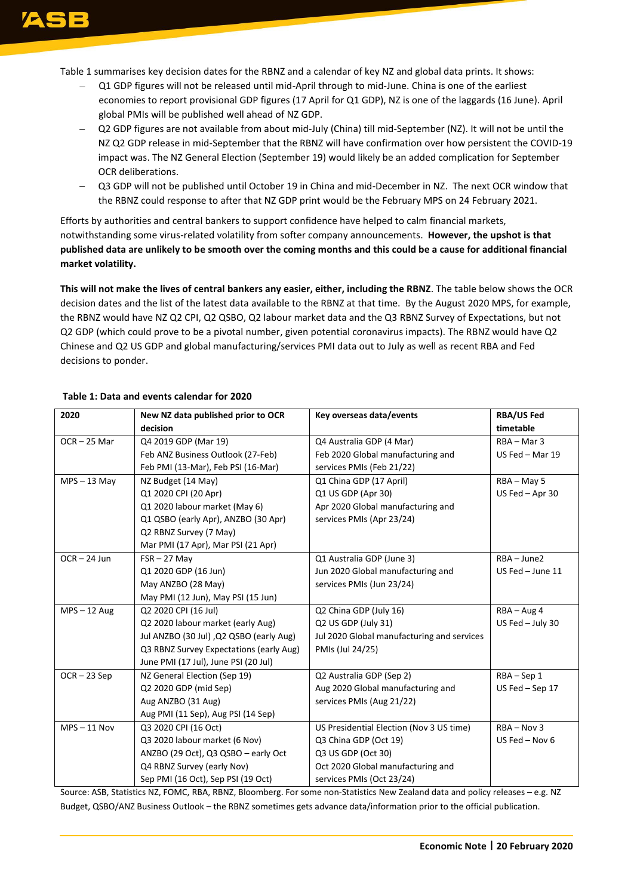Table 1 summarises key decision dates for the RBNZ and a calendar of key NZ and global data prints. It shows:

- Q1 GDP figures will not be released until mid-April through to mid-June. China is one of the earliest economies to report provisional GDP figures (17 April for Q1 GDP), NZ is one of the laggards (16 June). April global PMIs will be published well ahead of NZ GDP.
- − Q2 GDP figures are not available from about mid-July (China) till mid-September (NZ). It will not be until the NZ Q2 GDP release in mid-September that the RBNZ will have confirmation over how persistent the COVID-19 impact was. The NZ General Election (September 19) would likely be an added complication for September OCR deliberations.
- Q3 GDP will not be published until October 19 in China and mid-December in NZ. The next OCR window that the RBNZ could response to after that NZ GDP print would be the February MPS on 24 February 2021.

Efforts by authorities and central bankers to support confidence have helped to calm financial markets, notwithstanding some virus-related volatility from softer company announcements. **However, the upshot is that published data are unlikely to be smooth over the coming months and this could be a cause for additional financial market volatility.**

**This will not make the lives of central bankers any easier, either, including the RBNZ**. The table below shows the OCR decision dates and the list of the latest data available to the RBNZ at that time.By the August 2020 MPS, for example, the RBNZ would have NZ Q2 CPI, Q2 QSBO, Q2 labour market data and the Q3 RBNZ Survey of Expectations, but not Q2 GDP (which could prove to be a pivotal number, given potential coronavirus impacts). The RBNZ would have Q2 Chinese and Q2 US GDP and global manufacturing/services PMI data out to July as well as recent RBA and Fed decisions to ponder.

| 2020           | New NZ data published prior to OCR      | Key overseas data/events                   | <b>RBA/US Fed</b> |
|----------------|-----------------------------------------|--------------------------------------------|-------------------|
|                | decision                                |                                            | timetable         |
| $OCR - 25$ Mar | Q4 2019 GDP (Mar 19)                    | Q4 Australia GDP (4 Mar)                   | RBA - Mar 3       |
|                | Feb ANZ Business Outlook (27-Feb)       | Feb 2020 Global manufacturing and          | US Fed $-$ Mar 19 |
|                | Feb PMI (13-Mar), Feb PSI (16-Mar)      | services PMIs (Feb 21/22)                  |                   |
| $MPS - 13$ May | NZ Budget (14 May)                      | Q1 China GDP (17 April)                    | RBA - May 5       |
|                | Q1 2020 CPI (20 Apr)                    | Q1 US GDP (Apr 30)                         | US Fed - Apr 30   |
|                | Q1 2020 labour market (May 6)           | Apr 2020 Global manufacturing and          |                   |
|                | Q1 QSBO (early Apr), ANZBO (30 Apr)     | services PMIs (Apr 23/24)                  |                   |
|                | Q2 RBNZ Survey (7 May)                  |                                            |                   |
|                | Mar PMI (17 Apr), Mar PSI (21 Apr)      |                                            |                   |
| $OCR - 24$ Jun | $FSR - 27$ May                          | Q1 Australia GDP (June 3)                  | $RBA - June2$     |
|                | Q1 2020 GDP (16 Jun)                    | Jun 2020 Global manufacturing and          | US Fed - June 11  |
|                | May ANZBO (28 May)                      | services PMIs (Jun 23/24)                  |                   |
|                | May PMI (12 Jun), May PSI (15 Jun)      |                                            |                   |
| $MPS - 12 Aug$ | Q2 2020 CPI (16 Jul)                    | Q2 China GDP (July 16)                     | $RBA - Aug 4$     |
|                | Q2 2020 labour market (early Aug)       | Q2 US GDP (July 31)                        | US Fed - July 30  |
|                | Jul ANZBO (30 Jul), Q2 QSBO (early Aug) | Jul 2020 Global manufacturing and services |                   |
|                | Q3 RBNZ Survey Expectations (early Aug) | PMIs (Jul 24/25)                           |                   |
|                | June PMI (17 Jul), June PSI (20 Jul)    |                                            |                   |
| $OCR - 23$ Sep | NZ General Election (Sep 19)            | Q2 Australia GDP (Sep 2)                   | RBA-Sep 1         |
|                | Q2 2020 GDP (mid Sep)                   | Aug 2020 Global manufacturing and          | US Fed $-$ Sep 17 |
|                | Aug ANZBO (31 Aug)                      | services PMIs (Aug 21/22)                  |                   |
|                | Aug PMI (11 Sep), Aug PSI (14 Sep)      |                                            |                   |
| $MPS - 11$ Nov | Q3 2020 CPI (16 Oct)                    | US Presidential Election (Nov 3 US time)   | $RBA - Nov 3$     |
|                | Q3 2020 labour market (6 Nov)           | Q3 China GDP (Oct 19)                      | US Fed - Nov 6    |
|                | ANZBO (29 Oct), Q3 QSBO - early Oct     | Q3 US GDP (Oct 30)                         |                   |
|                | Q4 RBNZ Survey (early Nov)              | Oct 2020 Global manufacturing and          |                   |
|                | Sep PMI (16 Oct), Sep PSI (19 Oct)      | services PMIs (Oct 23/24)                  |                   |

#### **Table 1: Data and events calendar for 2020**

Source: ASB, Statistics NZ, FOMC, RBA, RBNZ, Bloomberg. For some non-Statistics New Zealand data and policy releases – e.g. NZ Budget, QSBO/ANZ Business Outlook – the RBNZ sometimes gets advance data/information prior to the official publication.